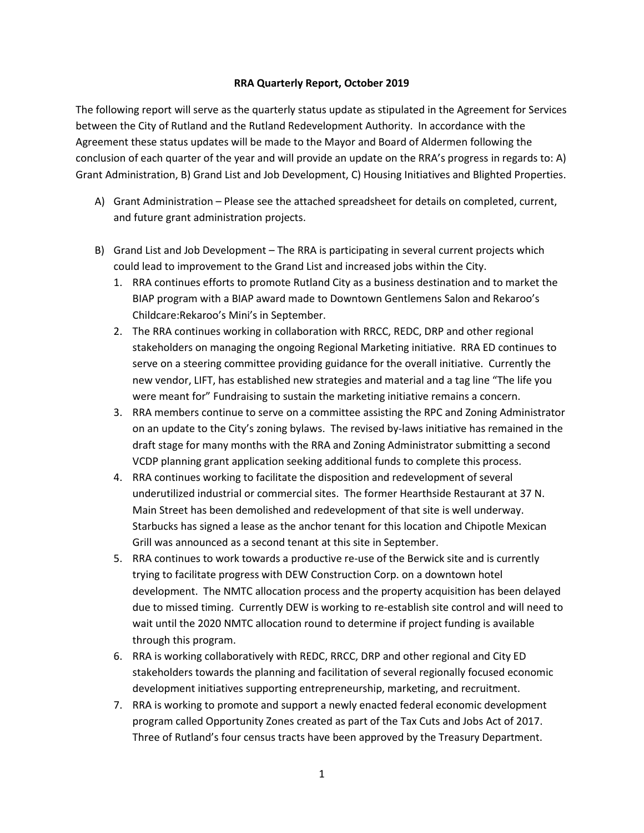## **RRA Quarterly Report, October 2019**

The following report will serve as the quarterly status update as stipulated in the Agreement for Services between the City of Rutland and the Rutland Redevelopment Authority. In accordance with the Agreement these status updates will be made to the Mayor and Board of Aldermen following the conclusion of each quarter of the year and will provide an update on the RRA's progress in regards to: A) Grant Administration, B) Grand List and Job Development, C) Housing Initiatives and Blighted Properties.

- A) Grant Administration Please see the attached spreadsheet for details on completed, current, and future grant administration projects.
- B) Grand List and Job Development The RRA is participating in several current projects which could lead to improvement to the Grand List and increased jobs within the City.
	- 1. RRA continues efforts to promote Rutland City as a business destination and to market the BIAP program with a BIAP award made to Downtown Gentlemens Salon and Rekaroo's Childcare:Rekaroo's Mini's in September.
	- 2. The RRA continues working in collaboration with RRCC, REDC, DRP and other regional stakeholders on managing the ongoing Regional Marketing initiative. RRA ED continues to serve on a steering committee providing guidance for the overall initiative. Currently the new vendor, LIFT, has established new strategies and material and a tag line "The life you were meant for" Fundraising to sustain the marketing initiative remains a concern.
	- 3. RRA members continue to serve on a committee assisting the RPC and Zoning Administrator on an update to the City's zoning bylaws. The revised by-laws initiative has remained in the draft stage for many months with the RRA and Zoning Administrator submitting a second VCDP planning grant application seeking additional funds to complete this process.
	- 4. RRA continues working to facilitate the disposition and redevelopment of several underutilized industrial or commercial sites. The former Hearthside Restaurant at 37 N. Main Street has been demolished and redevelopment of that site is well underway. Starbucks has signed a lease as the anchor tenant for this location and Chipotle Mexican Grill was announced as a second tenant at this site in September.
	- 5. RRA continues to work towards a productive re-use of the Berwick site and is currently trying to facilitate progress with DEW Construction Corp. on a downtown hotel development. The NMTC allocation process and the property acquisition has been delayed due to missed timing. Currently DEW is working to re-establish site control and will need to wait until the 2020 NMTC allocation round to determine if project funding is available through this program.
	- 6. RRA is working collaboratively with REDC, RRCC, DRP and other regional and City ED stakeholders towards the planning and facilitation of several regionally focused economic development initiatives supporting entrepreneurship, marketing, and recruitment.
	- 7. RRA is working to promote and support a newly enacted federal economic development program called Opportunity Zones created as part of the Tax Cuts and Jobs Act of 2017. Three of Rutland's four census tracts have been approved by the Treasury Department.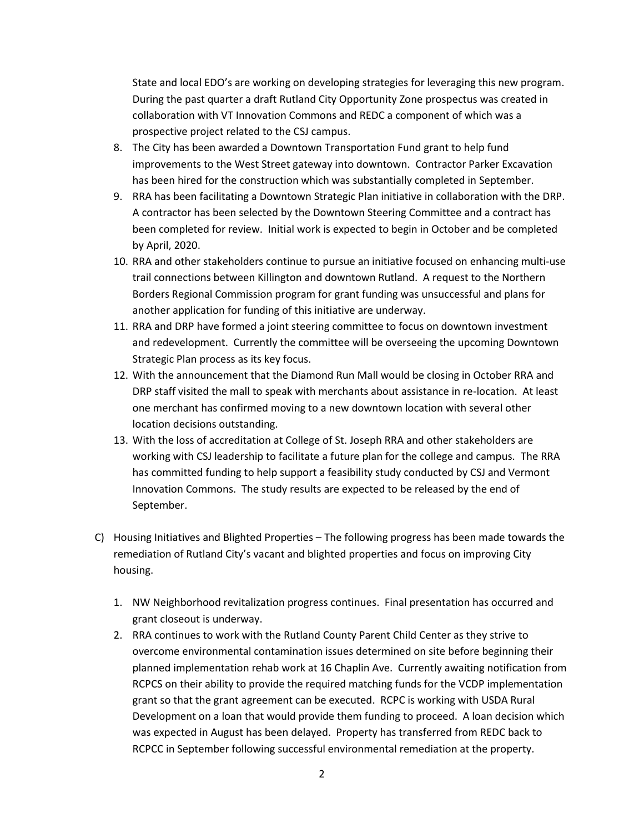State and local EDO's are working on developing strategies for leveraging this new program. During the past quarter a draft Rutland City Opportunity Zone prospectus was created in collaboration with VT Innovation Commons and REDC a component of which was a prospective project related to the CSJ campus.

- 8. The City has been awarded a Downtown Transportation Fund grant to help fund improvements to the West Street gateway into downtown. Contractor Parker Excavation has been hired for the construction which was substantially completed in September.
- 9. RRA has been facilitating a Downtown Strategic Plan initiative in collaboration with the DRP. A contractor has been selected by the Downtown Steering Committee and a contract has been completed for review. Initial work is expected to begin in October and be completed by April, 2020.
- 10. RRA and other stakeholders continue to pursue an initiative focused on enhancing multi-use trail connections between Killington and downtown Rutland. A request to the Northern Borders Regional Commission program for grant funding was unsuccessful and plans for another application for funding of this initiative are underway.
- 11. RRA and DRP have formed a joint steering committee to focus on downtown investment and redevelopment. Currently the committee will be overseeing the upcoming Downtown Strategic Plan process as its key focus.
- 12. With the announcement that the Diamond Run Mall would be closing in October RRA and DRP staff visited the mall to speak with merchants about assistance in re-location. At least one merchant has confirmed moving to a new downtown location with several other location decisions outstanding.
- 13. With the loss of accreditation at College of St. Joseph RRA and other stakeholders are working with CSJ leadership to facilitate a future plan for the college and campus. The RRA has committed funding to help support a feasibility study conducted by CSJ and Vermont Innovation Commons. The study results are expected to be released by the end of September.
- C) Housing Initiatives and Blighted Properties The following progress has been made towards the remediation of Rutland City's vacant and blighted properties and focus on improving City housing.
	- 1. NW Neighborhood revitalization progress continues. Final presentation has occurred and grant closeout is underway.
	- 2. RRA continues to work with the Rutland County Parent Child Center as they strive to overcome environmental contamination issues determined on site before beginning their planned implementation rehab work at 16 Chaplin Ave. Currently awaiting notification from RCPCS on their ability to provide the required matching funds for the VCDP implementation grant so that the grant agreement can be executed. RCPC is working with USDA Rural Development on a loan that would provide them funding to proceed. A loan decision which was expected in August has been delayed. Property has transferred from REDC back to RCPCC in September following successful environmental remediation at the property.